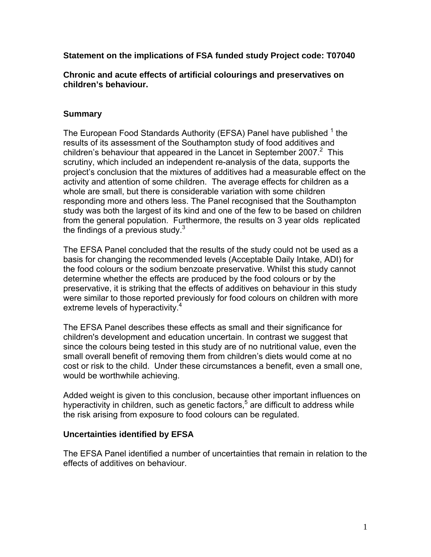**Statement on the implications of FSA funded study Project code: T07040** 

**Chronic and acute effects of artificial colourings and preservatives on children's behaviour.** 

# **Summary**

The European Food Standards Authority (EFSA) Panel have published <sup>1</sup> the results of its assessment of the Southampton study of food additives and children's behaviour that appeared in the Lancet in September 2007. $2$  This scrutiny, which included an independent re-analysis of the data, supports the project's conclusion that the mixtures of additives had a measurable effect on the activity and attention of some children. The average effects for children as a whole are small, but there is considerable variation with some children responding more and others less. The Panel recognised that the Southampton study was both the largest of its kind and one of the few to be based on children from the general population. Furthermore, the results on 3 year olds replicated the findings of a previous study. $3$ 

The EFSA Panel concluded that the results of the study could not be used as a basis for changing the recommended levels (Acceptable Daily Intake, ADI) for the food colours or the sodium benzoate preservative. Whilst this study cannot determine whether the effects are produced by the food colours or by the preservative, it is striking that the effects of additives on behaviour in this study were similar to those reported previously for food colours on children with more extreme levels of hyperactivity.<sup>4</sup>

The EFSA Panel describes these effects as small and their significance for children's development and education uncertain. In contrast we suggest that since the colours being tested in this study are of no nutritional value, even the small overall benefit of removing them from children's diets would come at no cost or risk to the child. Under these circumstances a benefit, even a small one, would be worthwhile achieving.

Added weight is given to this conclusion, because other important influences on hyperactivity in children, such as genetic factors,<sup>5</sup> are difficult to address while the risk arising from exposure to food colours can be regulated.

## **Uncertainties identified by EFSA**

The EFSA Panel identified a number of uncertainties that remain in relation to the effects of additives on behaviour.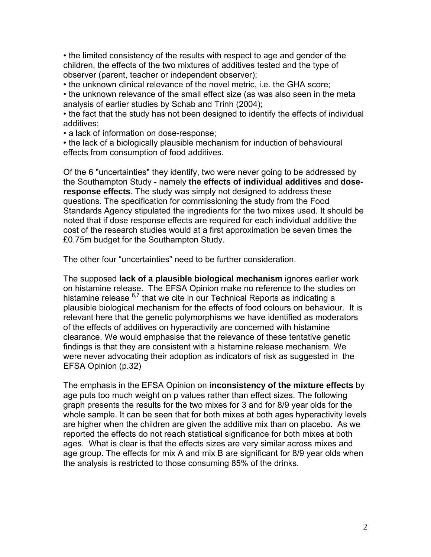• the limited consistency of the results with respect to age and gender of the children, the effects of the two mixtures of additives tested and the type of observer (parent, teacher or independent observer);

• the unknown clinical relevance of the novel metric, i.e. the GHA score;

• the unknown relevance of the small effect size (as was also seen in the meta analysis of earlier studies by Schab and Trinh (2004);

• the fact that the study has not been designed to identify the effects of individual additives;

• a lack of information on dose-response;

• the lack of a biologically plausible mechanism for induction of behavioural effects from consumption of food additives.

Of the 6 "uncertainties" they identify, two were never going to be addressed by the Southampton Study - namely **the effects of individual additives** and **doseresponse effects**. The study was simply not designed to address these questions. The specification for commissioning the study from the Food Standards Agency stipulated the ingredients for the two mixes used. It should be noted that if dose response effects are required for each individual additive the cost of the research studies would at a first approximation be seven times the £0.75m budget for the Southampton Study.

The other four "uncertainties" need to be further consideration.

The supposed **lack of a plausible biological mechanism** ignores earlier work on histamine release. The EFSA Opinion make no reference to the studies on histamine release <sup>6,7</sup> that we cite in our Technical Reports as indicating a plausible biological mechanism for the effects of food colours on behaviour. It is relevant here that the genetic polymorphisms we have identified as moderators of the effects of additives on hyperactivity are concerned with histamine clearance. We would emphasise that the relevance of these tentative genetic findings is that they are consistent with a histamine release mechanism. We were never advocating their adoption as indicators of risk as suggested in the EFSA Opinion (p.32)

The emphasis in the EFSA Opinion on **inconsistency of the mixture effects** by age puts too much weight on p values rather than effect sizes. The following graph presents the results for the two mixes for 3 and for 8/9 year olds for the whole sample. It can be seen that for both mixes at both ages hyperactivity levels are higher when the children are given the additive mix than on placebo. As we reported the effects do not reach statistical significance for both mixes at both ages. What is clear is that the effects sizes are very similar across mixes and age group. The effects for mix A and mix B are significant for 8/9 year olds when the analysis is restricted to those consuming 85% of the drinks.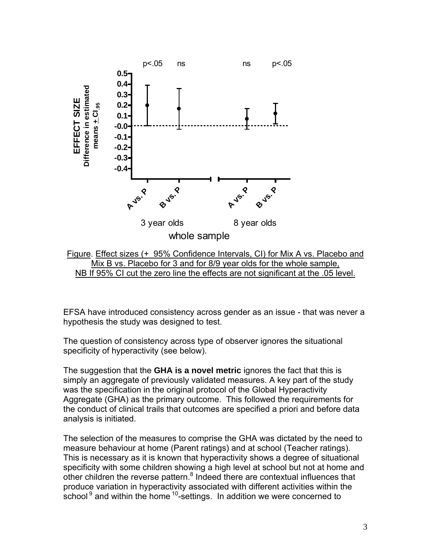



EFSA have introduced consistency across gender as an issue - that was never a hypothesis the study was designed to test.

The question of consistency across type of observer ignores the situational specificity of hyperactivity (see below).

The suggestion that the **GHA is a novel metric** ignores the fact that this is simply an aggregate of previously validated measures. A key part of the study was the specification in the original protocol of the Global Hyperactivity Aggregate (GHA) as the primary outcome. This followed the requirements for the conduct of clinical trails that outcomes are specified a priori and before data analysis is initiated.

The selection of the measures to comprise the GHA was dictated by the need to measure behaviour at home (Parent ratings) and at school (Teacher ratings). This is necessary as it is known that hyperactivity shows a degree of situational specificity with some children showing a high level at school but not at home and other children the reverse pattern.<sup>8</sup> Indeed there are contextual influences that produce variation in hyperactivity associated with different activities within the school<sup>9</sup> and within the home  $10-$ settings. In addition we were concerned to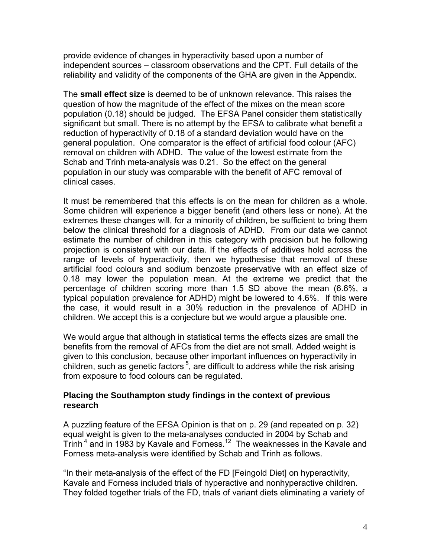provide evidence of changes in hyperactivity based upon a number of independent sources – classroom observations and the CPT. Full details of the reliability and validity of the components of the GHA are given in the Appendix.

The **small effect size** is deemed to be of unknown relevance. This raises the question of how the magnitude of the effect of the mixes on the mean score population (0.18) should be judged. The EFSA Panel consider them statistically significant but small. There is no attempt by the EFSA to calibrate what benefit a reduction of hyperactivity of 0.18 of a standard deviation would have on the general population. One comparator is the effect of artificial food colour (AFC) removal on children with ADHD. The value of the lowest estimate from the Schab and Trinh meta-analysis was 0.21. So the effect on the general population in our study was comparable with the benefit of AFC removal of clinical cases.

It must be remembered that this effects is on the mean for children as a whole. Some children will experience a bigger benefit (and others less or none). At the extremes these changes will, for a minority of children, be sufficient to bring them below the clinical threshold for a diagnosis of ADHD. From our data we cannot estimate the number of children in this category with precision but he following projection is consistent with our data. If the effects of additives hold across the range of levels of hyperactivity, then we hypothesise that removal of these artificial food colours and sodium benzoate preservative with an effect size of 0.18 may lower the population mean. At the extreme we predict that the percentage of children scoring more than 1.5 SD above the mean (6.6%, a typical population prevalence for ADHD) might be lowered to 4.6%. If this were the case, it would result in a 30% reduction in the prevalence of ADHD in children. We accept this is a conjecture but we would argue a plausible one.

We would argue that although in statistical terms the effects sizes are small the benefits from the removal of AFCs from the diet are not small. Added weight is given to this conclusion, because other important influences on hyperactivity in children, such as genetic factors<sup>5</sup>, are difficult to address while the risk arising from exposure to food colours can be regulated.

### **Placing the Southampton study findings in the context of previous research**

A puzzling feature of the EFSA Opinion is that on p. 29 (and repeated on p. 32) equal weight is given to the meta-analyses conducted in 2004 by Schab and Trinh<sup>4</sup> and in 1983 by Kavale and Forness.<sup>12</sup> The weaknesses in the Kavale and Forness meta-analysis were identified by Schab and Trinh as follows.

"In their meta-analysis of the effect of the FD [Feingold Diet] on hyperactivity, Kavale and Forness included trials of hyperactive and nonhyperactive children. They folded together trials of the FD, trials of variant diets eliminating a variety of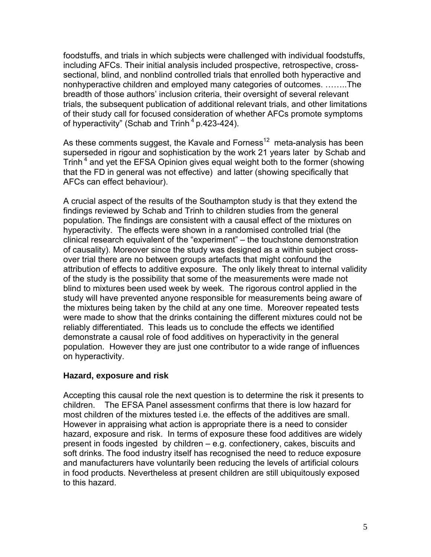foodstuffs, and trials in which subjects were challenged with individual foodstuffs, including AFCs. Their initial analysis included prospective, retrospective, crosssectional, blind, and nonblind controlled trials that enrolled both hyperactive and nonhyperactive children and employed many categories of outcomes. ……..The breadth of those authors' inclusion criteria, their oversight of several relevant trials, the subsequent publication of additional relevant trials, and other limitations of their study call for focused consideration of whether AFCs promote symptoms of hyperactivity" (Schab and Trinh<sup>4</sup> p.423-424).

As these comments suggest, the Kavale and Forness<sup>12</sup> meta-analysis has been superseded in rigour and sophistication by the work 21 years later by Schab and Trinh<sup>4</sup> and yet the EFSA Opinion gives equal weight both to the former (showing that the FD in general was not effective) and latter (showing specifically that AFCs can effect behaviour).

A crucial aspect of the results of the Southampton study is that they extend the findings reviewed by Schab and Trinh to children studies from the general population. The findings are consistent with a causal effect of the mixtures on hyperactivity. The effects were shown in a randomised controlled trial (the clinical research equivalent of the "experiment" – the touchstone demonstration of causality). Moreover since the study was designed as a within subject crossover trial there are no between groups artefacts that might confound the attribution of effects to additive exposure. The only likely threat to internal validity of the study is the possibility that some of the measurements were made not blind to mixtures been used week by week. The rigorous control applied in the study will have prevented anyone responsible for measurements being aware of the mixtures being taken by the child at any one time. Moreover repeated tests were made to show that the drinks containing the different mixtures could not be reliably differentiated. This leads us to conclude the effects we identified demonstrate a causal role of food additives on hyperactivity in the general population. However they are just one contributor to a wide range of influences on hyperactivity.

#### **Hazard, exposure and risk**

Accepting this causal role the next question is to determine the risk it presents to children. The EFSA Panel assessment confirms that there is low hazard for most children of the mixtures tested i.e. the effects of the additives are small. However in appraising what action is appropriate there is a need to consider hazard, exposure and risk. In terms of exposure these food additives are widely present in foods ingested by children – e.g. confectionery, cakes, biscuits and soft drinks. The food industry itself has recognised the need to reduce exposure and manufacturers have voluntarily been reducing the levels of artificial colours in food products. Nevertheless at present children are still ubiquitously exposed to this hazard.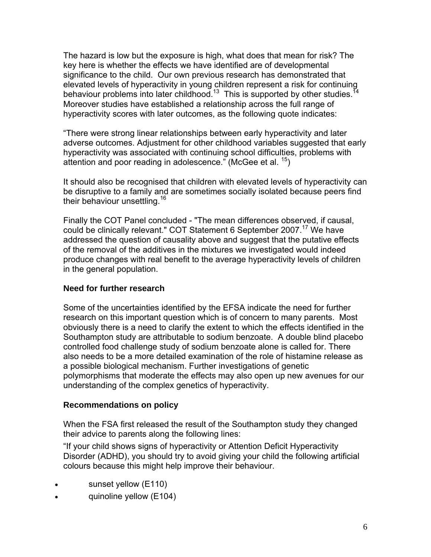The hazard is low but the exposure is high, what does that mean for risk? The key here is whether the effects we have identified are of developmental significance to the child. Our own previous research has demonstrated that signmearies to the ermal content processes.<br>
elevated levels of hyperactivity in young children represent a risk for continuing<br>
<sup>14</sup> behaviour problems into later childhood.<sup>13</sup> This is supported by other studies.<sup>1</sup> Moreover studies have established a relationship across the full range of hyperactivity scores with later outcomes, as the following quote indicates:

"There were strong linear relationships between early hyperactivity and later adverse outcomes. Adjustment for other childhood variables suggested that early hyperactivity was associated with continuing school difficulties, problems with attention and poor reading in adolescence." (McGee et al.  $15$ )

It should also be recognised that children with elevated levels of hyperactivity can be disruptive to a family and are sometimes socially isolated because peers find their behaviour unsettling.<sup>16</sup>

Finally the COT Panel concluded - "The mean differences observed, if causal, could be clinically relevant." COT Statement 6 September 2007.<sup>17</sup> We have addressed the question of causality above and suggest that the putative effects of the removal of the additives in the mixtures we investigated would indeed produce changes with real benefit to the average hyperactivity levels of children in the general population.

## **Need for further research**

Some of the uncertainties identified by the EFSA indicate the need for further research on this important question which is of concern to many parents. Most obviously there is a need to clarify the extent to which the effects identified in the Southampton study are attributable to sodium benzoate. A double blind placebo controlled food challenge study of sodium benzoate alone is called for. There also needs to be a more detailed examination of the role of histamine release as a possible biological mechanism. Further investigations of genetic polymorphisms that moderate the effects may also open up new avenues for our understanding of the complex genetics of hyperactivity.

#### **Recommendations on policy**

When the FSA first released the result of the Southampton study they changed their advice to parents along the following lines:

"If your child shows signs of hyperactivity or Attention Deficit Hyperactivity Disorder (ADHD), you should try to avoid giving your child the following artificial colours because this might help improve their behaviour.

- sunset yellow (E110)
- quinoline yellow (E104)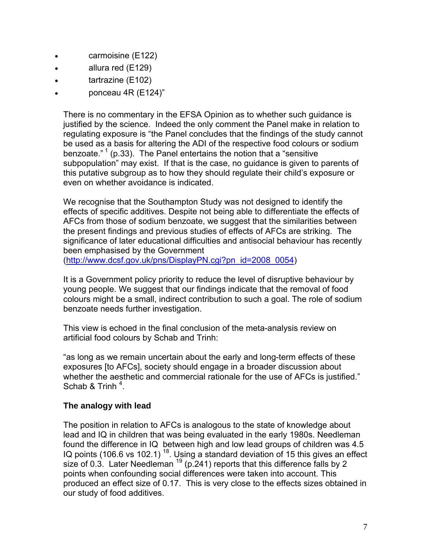- carmoisine (E122)
- allura red (E129)
- tartrazine (E102)
- ponceau 4R (E124)"

There is no commentary in the EFSA Opinion as to whether such guidance is justified by the science. Indeed the only comment the Panel make in relation to regulating exposure is "the Panel concludes that the findings of the study cannot be used as a basis for altering the ADI of the respective food colours or sodium benzoate."<sup>1</sup> (p.33). The Panel entertains the notion that a "sensitive" subpopulation" may exist. If that is the case, no guidance is given to parents of this putative subgroup as to how they should regulate their child's exposure or even on whether avoidance is indicated.

We recognise that the Southampton Study was not designed to identify the effects of specific additives. Despite not being able to differentiate the effects of AFCs from those of sodium benzoate, we suggest that the similarities between the present findings and previous studies of effects of AFCs are striking. The significance of later educational difficulties and antisocial behaviour has recently been emphasised by the Government

([http://www.dcsf.gov.uk/pns/DisplayPN.cgi?pn\\_id=2008\\_0054\)](http://www.dcsf.gov.uk/pns/DisplayPN.cgi?pn_id=2008_0054)

It is a Government policy priority to reduce the level of disruptive behaviour by young people. We suggest that our findings indicate that the removal of food colours might be a small, indirect contribution to such a goal. The role of sodium benzoate needs further investigation.

This view is echoed in the final conclusion of the meta-analysis review on artificial food colours by Schab and Trinh:

"as long as we remain uncertain about the early and long-term effects of these exposures [to AFCs], society should engage in a broader discussion about whether the aesthetic and commercial rationale for the use of AFCs is justified." Schab & Trinh  $4$ .

#### **The analogy with lead**

The position in relation to AFCs is analogous to the state of knowledge about lead and IQ in children that was being evaluated in the early 1980s. Needleman found the difference in IQ between high and low lead groups of children was 4.5 IQ points (106.6 vs 102.1)<sup>18</sup>. Using a standard deviation of 15 this gives an effect size of 0.3. Later Needleman  $19$  (p. 241) reports that this difference falls by 2 points when confounding social differences were taken into account. This produced an effect size of 0.17. This is very close to the effects sizes obtained in our study of food additives.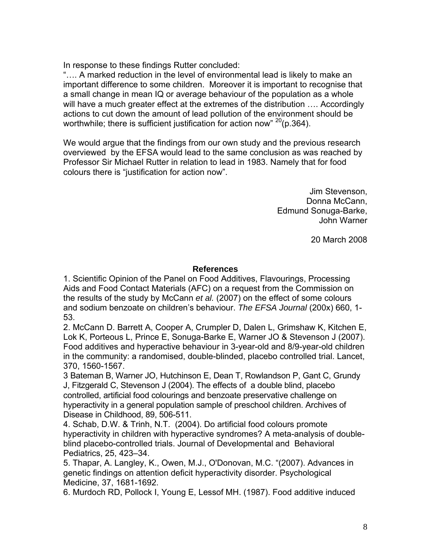In response to these findings Rutter concluded:

"…. A marked reduction in the level of environmental lead is likely to make an important difference to some children. Moreover it is important to recognise that a small change in mean IQ or average behaviour of the population as a whole will have a much greater effect at the extremes of the distribution …. Accordingly actions to cut down the amount of lead pollution of the environment should be worthwhile; there is sufficient justification for action now"  $20(p.364)$ .

We would argue that the findings from our own study and the previous research overviewed by the EFSA would lead to the same conclusion as was reached by Professor Sir Michael Rutter in relation to lead in 1983. Namely that for food colours there is "justification for action now".

> Jim Stevenson, Donna McCann, Edmund Sonuga-Barke, John Warner

> > 20 March 2008

### **References**

1. Scientific Opinion of the Panel on Food Additives, Flavourings, Processing Aids and Food Contact Materials (AFC) on a request from the Commission on the results of the study by McCann *et al.* (2007) on the effect of some colours and sodium benzoate on children's behaviour. *The EFSA Journal* (200x) 660, 1- 53.

2. McCann D. Barrett A, Cooper A, Crumpler D, Dalen L, Grimshaw K, Kitchen E, Lok K, Porteous L, Prince E, Sonuga-Barke E, Warner JO & Stevenson J (2007). Food additives and hyperactive behaviour in 3-year-old and 8/9-year-old children in the community: a randomised, double-blinded, placebo controlled trial. Lancet, 370, 1560-1567.

3 Bateman B, Warner JO, Hutchinson E, Dean T, Rowlandson P, Gant C, Grundy J, Fitzgerald C, Stevenson J (2004). The effects of a double blind, placebo controlled, artificial food colourings and benzoate preservative challenge on hyperactivity in a general population sample of preschool children. Archives of Disease in Childhood, 89, 506-511.

4. Schab, D.W. & Trinh, N.T. (2004). Do artificial food colours promote hyperactivity in children with hyperactive syndromes? A meta-analysis of doubleblind placebo-controlled trials. Journal of Developmental and Behavioral Pediatrics, 25, 423–34.

5. Thapar, A. Langley, K., Owen, M.J., O'Donovan, M.C. "(2007). Advances in genetic findings on attention deficit hyperactivity disorder. Psychological Medicine, 37, 1681-1692.

6. Murdoch RD, Pollock I, Young E, Lessof MH. (1987). Food additive induced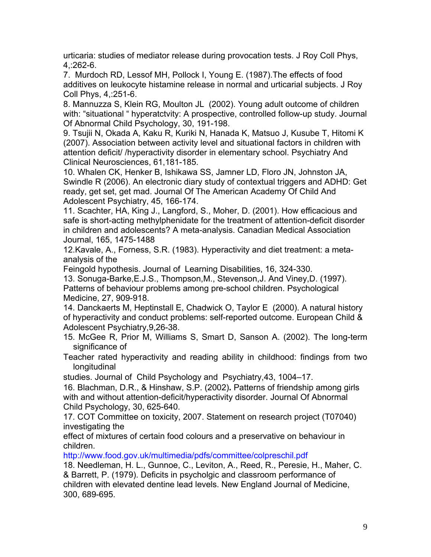urticaria: studies of mediator release during provocation tests. J Roy Coll Phys, 4,:262-6.

7. Murdoch RD, Lessof MH, Pollock I, Young E. (1987).The effects of food additives on leukocyte histamine release in normal and urticarial subjects. J Roy Coll Phys, 4,:251-6.

8. [Mannuzza S](http://apps.newisiknowledge.com/DaisyOneClickSearch.do?product=WOS&search_mode=DaisyOneClickSearch&doc=20&db_id=&SID=N2eiPPGenIaooIEkEhA&name=Mannuzza%20S&ut=000174913500008&pos=1), [Klein RG,](http://apps.newisiknowledge.com/DaisyOneClickSearch.do?product=WOS&search_mode=DaisyOneClickSearch&doc=20&db_id=&SID=N2eiPPGenIaooIEkEhA&name=Klein%20RG&ut=000174913500008&pos=2) [Moulton JL](http://apps.newisiknowledge.com/DaisyOneClickSearch.do?product=WOS&search_mode=DaisyOneClickSearch&doc=20&db_id=&SID=N2eiPPGenIaooIEkEhA&name=Moulton%20JL&ut=000174913500008&pos=3) (2002). Young adult outcome of children with: "situational " hyperatctvity: A prospective, controlled follow-up study. Journal Of Abnormal Child Psychology, 30, 191-198.

9. [Tsujii N](http://apps.newisiknowledge.com/DaisyOneClickSearch.do?product=WOS&search_mode=DaisyOneClickSearch&doc=2&db_id=&SID=N2eiPPGenIaooIEkEhA&name=Tsujii%20N&ut=000244600300007&pos=1), [Okada A,](http://apps.newisiknowledge.com/DaisyOneClickSearch.do?product=WOS&search_mode=DaisyOneClickSearch&doc=2&db_id=&SID=N2eiPPGenIaooIEkEhA&name=Okada%20A&ut=000244600300007&pos=2) [Kaku R,](http://apps.newisiknowledge.com/DaisyOneClickSearch.do?product=WOS&search_mode=DaisyOneClickSearch&doc=2&db_id=&SID=N2eiPPGenIaooIEkEhA&name=Kaku%20R&ut=000244600300007&pos=3) [Kuriki N](http://apps.newisiknowledge.com/DaisyOneClickSearch.do?product=WOS&search_mode=DaisyOneClickSearch&doc=2&db_id=&SID=N2eiPPGenIaooIEkEhA&name=Kuriki%20N&ut=000244600300007&pos=4), [Hanada K](http://apps.newisiknowledge.com/DaisyOneClickSearch.do?product=WOS&search_mode=DaisyOneClickSearch&doc=2&db_id=&SID=N2eiPPGenIaooIEkEhA&name=Hanada%20K&ut=000244600300007&pos=5), [Matsuo J,](http://apps.newisiknowledge.com/DaisyOneClickSearch.do?product=WOS&search_mode=DaisyOneClickSearch&doc=2&db_id=&SID=N2eiPPGenIaooIEkEhA&name=Matsuo%20J&ut=000244600300007&pos=6) [Kusube T,](http://apps.newisiknowledge.com/DaisyOneClickSearch.do?product=WOS&search_mode=DaisyOneClickSearch&doc=2&db_id=&SID=N2eiPPGenIaooIEkEhA&name=Kusube%20T&ut=000244600300007&pos=7) [Hitomi K](http://apps.newisiknowledge.com/DaisyOneClickSearch.do?product=WOS&search_mode=DaisyOneClickSearch&doc=2&db_id=&SID=N2eiPPGenIaooIEkEhA&name=Hitomi%20K&ut=000244600300007&pos=8) (2007). Association between activity level and situational factors in children with attention deficit/ /hyperactivity disorder in elementary school. Psychiatry And Clinical Neurosciences, 61,181-185.

10. [Whalen CK,](http://apps.newisiknowledge.com/DaisyOneClickSearch.do?product=WOS&search_mode=DaisyOneClickSearch&doc=8&db_id=&SID=N2eiPPGenIaooIEkEhA&name=Whalen%20CK&ut=000234808000006&pos=1) [Henker B,](http://apps.newisiknowledge.com/DaisyOneClickSearch.do?product=WOS&search_mode=DaisyOneClickSearch&doc=8&db_id=&SID=N2eiPPGenIaooIEkEhA&name=Henker%20B&ut=000234808000006&pos=2) [Ishikawa SS](http://apps.newisiknowledge.com/DaisyOneClickSearch.do?product=WOS&search_mode=DaisyOneClickSearch&doc=8&db_id=&SID=N2eiPPGenIaooIEkEhA&name=Ishikawa%20SS&ut=000234808000006&pos=3), [Jamner LD](http://apps.newisiknowledge.com/DaisyOneClickSearch.do?product=WOS&search_mode=DaisyOneClickSearch&doc=8&db_id=&SID=N2eiPPGenIaooIEkEhA&name=Jamner%20LD&ut=000234808000006&pos=4), [Floro JN](http://apps.newisiknowledge.com/DaisyOneClickSearch.do?product=WOS&search_mode=DaisyOneClickSearch&doc=8&db_id=&SID=N2eiPPGenIaooIEkEhA&name=Floro%20JN&ut=000234808000006&pos=5), [Johnston JA](http://apps.newisiknowledge.com/DaisyOneClickSearch.do?product=WOS&search_mode=DaisyOneClickSearch&doc=8&db_id=&SID=N2eiPPGenIaooIEkEhA&name=Johnston%20JA&ut=000234808000006&pos=6), [Swindle R](http://apps.newisiknowledge.com/DaisyOneClickSearch.do?product=WOS&search_mode=DaisyOneClickSearch&doc=8&db_id=&SID=N2eiPPGenIaooIEkEhA&name=Swindle%20R&ut=000234808000006&pos=7) (2006). An electronic diary study of contextual triggers and ADHD: Get ready, get set, get mad. Journal Of The American Academy Of Child And Adolescent Psychiatry, 45, 166-174.

11. Scachter, HA, King J., Langford, S., Moher, D. (2001). How efficacious and safe is short-acting methylphenidate for the treatment of attention-deficit disorder in children and adolescents? A meta-analysis. Canadian Medical Association Journal, 165, 1475-1488

12.Kavale, A., Forness, S.R. (1983). Hyperactivity and diet treatment: a metaanalysis of the

Feingold hypothesis. Journal of Learning Disabilities, 16, 324-330.

13. Sonuga-Barke,E.J.S., Thompson,M., Stevenson,J. And Viney,D. (1997). Patterns of behaviour problems among pre-school children. Psychological Medicine, 27, 909-918.

14. [Danckaerts M](http://apps.newisiknowledge.com/DaisyOneClickSearch.do?product=WOS&search_mode=DaisyOneClickSearch&doc=63&db_id=&SID=P2JEe5eK3OBeFl8ec5n&name=Danckaerts%20M&ut=000086562800005&pos=1), [Heptinstall E](http://apps.newisiknowledge.com/DaisyOneClickSearch.do?product=WOS&search_mode=DaisyOneClickSearch&doc=63&db_id=&SID=P2JEe5eK3OBeFl8ec5n&name=Heptinstall%20E&ut=000086562800005&pos=2), [Chadwick O](http://apps.newisiknowledge.com/DaisyOneClickSearch.do?product=WOS&search_mode=DaisyOneClickSearch&doc=63&db_id=&SID=P2JEe5eK3OBeFl8ec5n&name=Chadwick%20O&ut=000086562800005&pos=3), [Taylor E](http://apps.newisiknowledge.com/DaisyOneClickSearch.do?product=WOS&search_mode=DaisyOneClickSearch&doc=63&db_id=&SID=P2JEe5eK3OBeFl8ec5n&name=Taylor%20E&ut=000086562800005&pos=4) (2000). A natural history of hyperactivity and conduct problems: self-reported outcome. European Child & Adolescent Psychiatry,9,26-38.

15. McGee R, Prior M, Williams S, Smart D, Sanson A. (2002). The long-term significance of

Teacher rated hyperactivity and reading ability in childhood: findings from two longitudinal

studies. Journal of Child Psychology and Psychiatry,43, 1004–17.

16. Blachman, D.R., & Hinshaw, S.P. (2002)**.** Patterns of friendship among girls with and without attention-deficit/hyperactivity disorder. Journal Of Abnormal Child Psychology, 30, 625-640.

17. COT Committee on toxicity, 2007. Statement on research project (T07040) investigating the

effect of mixtures of certain food colours and a preservative on behaviour in children.

http://www.food.gov.uk/multimedia/pdfs/committee/colpreschil.pdf

18. Needleman, H. L., Gunnoe, C., Leviton, A., Reed, R., Peresie, H., Maher, C. & Barrett, P. (1979). Deficits in psycholgic and classroom performance of children with elevated dentine lead levels. New England Journal of Medicine, 300, 689-695.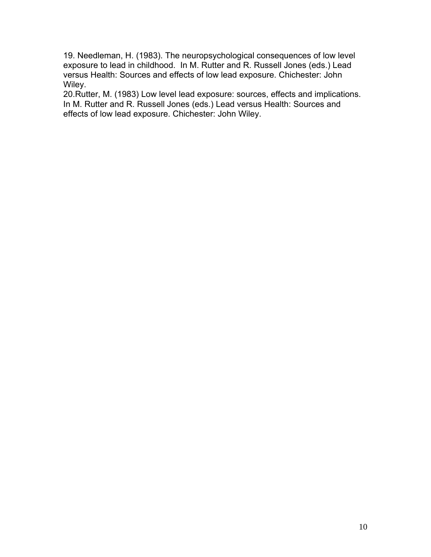19. Needleman, H. (1983). The neuropsychological consequences of low level exposure to lead in childhood. In M. Rutter and R. Russell Jones (eds.) Lead versus Health: Sources and effects of low lead exposure. Chichester: John Wiley.

20.Rutter, M. (1983) Low level lead exposure: sources, effects and implications. In M. Rutter and R. Russell Jones (eds.) Lead versus Health: Sources and effects of low lead exposure. Chichester: John Wiley.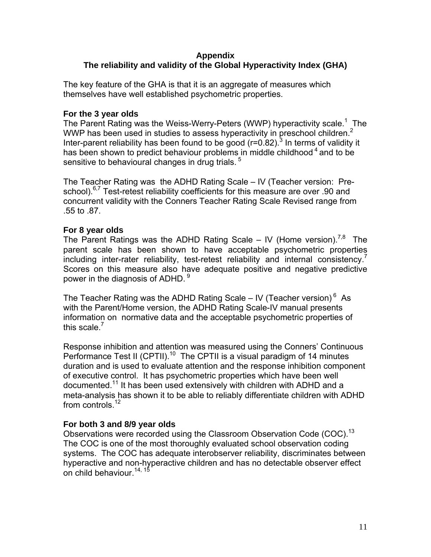#### **Appendix The reliability and validity of the Global Hyperactivity Index (GHA)**

The key feature of the GHA is that it is an aggregate of measures which themselves have well established psychometric properties.

### **For the 3 year olds**

The Parent Rating was the Weiss-Werry-Peters (WWP) hyperactivity scale.<sup>1</sup> The WWP has been used in studies to assess hyperactivity in preschool children.<sup>2</sup> Inter-parent reliability has been found to be good ( $r=0.82$ ).<sup>3</sup> In terms of validity it has been shown to predict behaviour problems in middle childhood  $4$  and to be sensitive to behavioural changes in drug trials.<sup>5</sup>

The Teacher Rating was the ADHD Rating Scale – IV (Teacher version: Preschool).<sup>6,7</sup> Test-retest reliability coefficients for this measure are over .90 and concurrent validity with the Conners Teacher Rating Scale Revised range from .55 to .87.

## **For 8 year olds**

The Parent Ratings was the ADHD Rating Scale – IV (Home version).<sup>7,8</sup> The parent scale has been shown to have acceptable psychometric properties including inter-rater reliability, test-retest reliability and internal consistency.<sup>7</sup> Scores on this measure also have adequate positive and negative predictive power in the diagnosis of ADHD. 9

The Teacher Rating was the ADHD Rating Scale – IV (Teacher version) $<sup>6</sup>$  As</sup> with the Parent/Home version, the ADHD Rating Scale-IV manual presents information on normative data and the acceptable psychometric properties of this scale.<sup>7</sup>

Response inhibition and attention was measured using the Conners' Continuous Performance Test II (CPTII).<sup>10</sup> The CPTII is a visual paradigm of 14 minutes duration and is used to evaluate attention and the response inhibition component of executive control. It has psychometric properties which have been well documented.<sup>11</sup> It has been used extensively with children with ADHD and a meta-analysis has shown it to be able to reliably differentiate children with ADHD from controls.<sup>12</sup>

## **For both 3 and 8/9 year olds**

Observations were recorded using the Classroom Observation Code (COC).<sup>13</sup> The COC is one of the most thoroughly evaluated school observation coding systems. The COC has adequate interobserver reliability, discriminates between hyperactive and non-hyperactive children and has no detectable observer effect on child behaviour.<sup>14, 15</sup>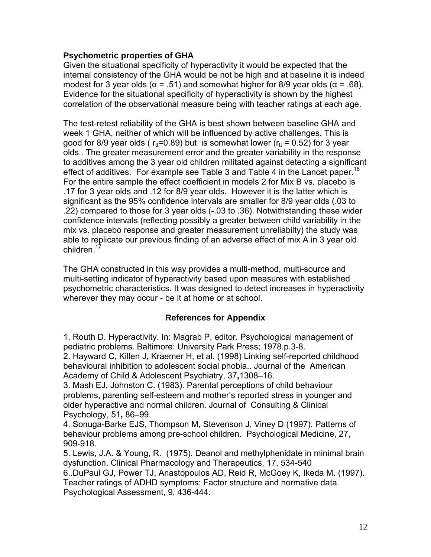### **Psychometric properties of GHA**

Given the situational specificity of hyperactivity it would be expected that the internal consistency of the GHA would be not be high and at baseline it is indeed modest for 3 year olds ( $\alpha$  = .51) and somewhat higher for 8/9 year olds ( $\alpha$  = .68). Evidence for the situational specificity of hyperactivity is shown by the highest correlation of the observational measure being with teacher ratings at each age.

The test-retest reliability of the GHA is best shown between baseline GHA and week 1 GHA, neither of which will be influenced by active challenges. This is good for 8/9 year olds ( $r_{tt}$ =0.89) but is somewhat lower ( $r_{tt}$  = 0.52) for 3 year olds.. The greater measurement error and the greater variability in the response to additives among the 3 year old children militated against detecting a significant effect of additives. For example see Table 3 and Table 4 in the Lancet paper.<sup>16</sup> For the entire sample the effect coefficient in models 2 for Mix B vs. placebo is .17 for 3 year olds and .12 for 8/9 year olds. However it is the latter which is significant as the 95% confidence intervals are smaller for 8/9 year olds (.03 to .22) compared to those for 3 year olds (-.03 to .36). Notwithstanding these wider confidence intervals (reflecting possibly a greater between child variability in the mix vs. placebo response and greater measurement unreliabilty) the study was able to replicate our previous finding of an adverse effect of mix A in 3 year old children.<sup>1</sup>

The GHA constructed in this way provides a multi-method, multi-source and multi-setting indicator of hyperactivity based upon measures with established psychometric characteristics. It was designed to detect increases in hyperactivity wherever they may occur - be it at home or at school.

## **References for Appendix**

1. Routh D. Hyperactivity. In: Magrab P, editor. Psychological management of pediatric problems. Baltimore: University Park Press; 1978.p.3-8. 2. Hayward C, Killen J, Kraemer H, et al. (1998) Linking self-reported childhood behavioural inhibition to adolescent social phobia.. Journal of the American Academy of Child & Adolescent Psychiatry, 37**,**1308–16.

3. Mash EJ, Johnston C. (1983). Parental perceptions of child behaviour problems, parenting self-esteem and mother's reported stress in younger and older hyperactive and normal children. Journal of Consulting & Clinical Psychology, 51**,** 86–99.

4. [Sonuga-Barke EJS](http://apps.newisiknowledge.com/DaisyOneClickSearch.do?product=WOS&search_mode=DaisyOneClickSearch&doc=26&db_id=&SID=P2JEe5eK3OBeFl8ec5n&name=SonugaBarke%20EJS&ut=A1997XM25300015&pos=1), [Thompson M,](http://apps.newisiknowledge.com/DaisyOneClickSearch.do?product=WOS&search_mode=DaisyOneClickSearch&doc=26&db_id=&SID=P2JEe5eK3OBeFl8ec5n&name=Thompson%20M&ut=A1997XM25300015&pos=2) [Stevenson J,](http://apps.newisiknowledge.com/DaisyOneClickSearch.do?product=WOS&search_mode=DaisyOneClickSearch&doc=26&db_id=&SID=P2JEe5eK3OBeFl8ec5n&name=Stevenson%20J&ut=A1997XM25300015&pos=3) [Viney D](http://apps.newisiknowledge.com/DaisyOneClickSearch.do?product=WOS&search_mode=DaisyOneClickSearch&doc=26&db_id=&SID=P2JEe5eK3OBeFl8ec5n&name=Viney%20D&ut=A1997XM25300015&pos=4) (1997). Patterns of behaviour problems among pre-school children. Psychological Medicine, 27, 909-918.

5. Lewis, J.A. & Young, R. (1975). Deanol and methylphenidate in minimal brain dysfunction. Clinical Pharmacology and Therapeutics, 17, 534-540

6..DuPaul GJ, Power TJ, Anastopoulos AD, Reid R, McGoey K, Ikeda M. (1997). Teacher ratings of ADHD symptoms: Factor structure and normative data. Psychological Assessment, 9, 436-444.